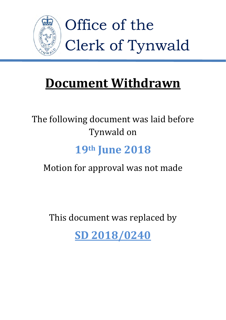

# **Document Withdrawn**

# The following document was laid before Tynwald on

# **19th June 2018**

# Motion for approval was not made

This document was replaced by

**[SD 2018/0240](https://www.tynwald.org.im/links/tls/SD/2018/2018-SD-0240.pdf)**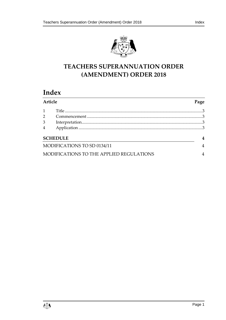



# **TEACHERS SUPERANNUATION ORDER (AMENDMENT) ORDER 2018**

# **Index**

| Article                                  |  | Page |
|------------------------------------------|--|------|
| $\mathbf{1}$                             |  |      |
| 2                                        |  |      |
| 3                                        |  |      |
| $\overline{4}$                           |  |      |
| <b>SCHEDULE</b>                          |  |      |
| MODIFICATIONS TO SD 0134/11              |  |      |
| MODIFICATIONS TO THE APPLIED REGULATIONS |  |      |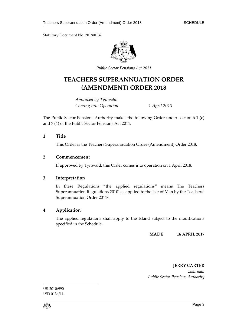Statutory Document No. 2018/0132



*Public Sector Pensions Act 2011*

# **TEACHERS SUPERANNUATION ORDER (AMENDMENT) ORDER 2018**

*Approved by Tynwald: Coming into Operation: 1 April 2018*

The Public Sector Pensions Authority makes the following Order under section 6 1 (c) and 7 (4) of the Public Sector Pensions Act 2011.

# <span id="page-3-0"></span>**1 Title**

This Order is the Teachers Superannuation Order (Amendment) Order 2018.

# <span id="page-3-1"></span>**2 Commencement**

If approved by Tynwald, this Order comes into operation on 1 April 2018.

# <span id="page-3-2"></span>**3 Interpretation**

In these Regulations "the applied regulations" means The Teachers Superannuation Regulations 2010<sup>1</sup> as applied to the Isle of Man by the Teachers' Superannuation Order 2011<sup>2</sup> .

# <span id="page-3-3"></span>**4 Application**

The applied regulations shall apply to the Island subject to the modifications specified in the Schedule.

**MADE 16 APRIL 2017**

**JERRY CARTER** *Chairman Public Sector Pensions Authority*

 $\mathbb{C}$  . The property of the contract of the contract of the contract of the contract of the contract of the contract of the contract of the contract of the contract of the contract of the contract of the contract of th

 $\overline{a}$ 

<sup>&</sup>lt;sup>1</sup> SI 2010/990 <sup>2</sup> SD 0134/11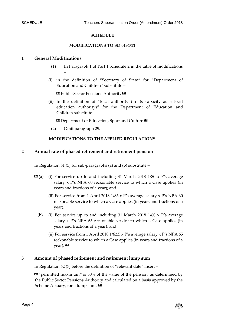### **SCHEDULE**

#### **MODIFICATIONS TO SD 0134/11**

### <span id="page-4-1"></span><span id="page-4-0"></span>**1 General Modifications**

–

- (1) In Paragraph 1 of Part 1 Schedule 2 in the table of modifications
- (i) in the definition of "Secretary of State" for "Department of Education and Children" substitute –

**ED** Public Sector Pensions Authority

(ii) In the definition of "local authority (in its capacity as a local education authority)" for the Department of Education and Children substitute –

**II** Department of Education, Sport and Culture<sup>D</sup>.

(2) Omit paragraph 29.

#### **MODIFICATIONS TO THE APPLIED REGULATIONS**

#### <span id="page-4-2"></span>**2 Annual rate of phased retirement and retirement pension**

In Regulation 61 (5) for sub-paragraphs (a) and (b) substitute –

- $\mathbf{G}(\mathbf{a})$  (i) For service up to and including 31 March 2018 1/80 x P's average salary x P's NPA 60 reckonable service to which a Case applies (in years and fractions of a year); and
	- (ii) For service from 1 April 2018 1/83 x P's average salary x P's NPA 60 reckonable service to which a Case applies (in years and fractions of a year).
	- (b) (i) For service up to and including 31 March 2018  $1/60 \times P$ 's average salary x P's NPA 65 reckonable service to which a Case applies (in years and fractions of a year); and
		- (ii) For service from 1 April 2018 1/62.5 x P's average salary x P's NPA 65 reckonable service to which a Case applies (in years and fractions of a  $year)$ .

### **3 Amount of phased retirement and retirement lump sum**

In Regulation 62 (7) before the definition of "relevant date" insert –

«"permitted maximum" is 30% of the value of the pension, as determined by the Public Sector Pensions Authority and calculated on a basis approved by the Scheme Actuary, for a lump sum.  $\mathbf{\Sigma}$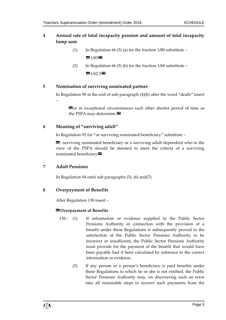# **4 Annual rate of total incapacity pension and amount of total incapacity lump sum**

- (1) In Regulation 66 (5) (a) for the fraction  $1/80$  substitute «1/83»
- (2) In Regulation 66 (5) (b) for the fraction  $1/60$  substitute **33** 1/62.5

# **5 Nomination of surviving nominated partner**

In Regulation 90 at the end of sub-paragraph (4)(b) after the word "death" insert –

**EG** or in exceptional circumstances such other shorter period of time as the PSPA may determine. $\boldsymbol{\mathsf{E}}$ 

# **6 Meaning of "surviving adult"**

In Regulation 92 for "or surviving nominated beneficiary" substitute –

«, surviving nominated beneficiary or a surviving adult dependent who in the view of the PSPA should be deemed to meet the criteria of a surviving nominated beneficiary $\boldsymbol{\mathsf{\Xi}}$ .

# **7 Adult Pensions**

In Regulation 94 omit sub paragraphs (5), (6) and(7).

# **8 Overpayment of Benefits**

After Regulation 138 insert –

# $**Q**$  Overpayment of Benefits

- 139.- (1) If information or evidence supplied to the Public Sector Pensions Authority in connection with the provision of a benefit under these Regulations is subsequently proved to the satisfaction of the Public Sector Pensions Authority to be incorrect or insufficient, the Public Sector Pensions Authority must provide for the payment of the benefit that would have been payable had it been calculated by reference to the correct information or evidence.
	- (2) If any person or a person's beneficiary is paid benefits under these Regulations to which he or she is not entitled, the Public Sector Pensions Authority may, on discovering such an error take all reasonable steps to recover such payments from the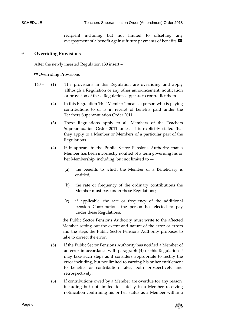recipient including but not limited to offsetting any overpayment of a benefit against future payments of benefits. $\boldsymbol{\mathsf{\Xi}}$ 

## **9 Overriding Provisions**

After the newly inserted Regulation 139 insert –

### **ED** Overriding Provisions

- 140 (1) The provisions in this Regulation are overriding and apply although a Regulation or any other announcement, notification or provision of these Regulations appears to contradict them.
	- (2) In this Regulation 140 "Member" means a person who is paying contributions to or is in receipt of benefits paid under the Teachers Superannuation Order 2011.
	- (3) These Regulations apply to all Members of the Teachers Superannuation Order 2011 unless it is explicitly stated that they apply to a Member or Members of a particular part of the Regulations.
	- (4) If it appears to the Public Sector Pensions Authority that a Member has been incorrectly notified of a term governing his or her Membership, including, but not limited to —
		- (a) the benefits to which the Member or a Beneficiary is entitled;
		- (b) the rate or frequency of the ordinary contributions the Member must pay under these Regulations;
		- (c) if applicable, the rate or frequency of the additional pension Contributions the person has elected to pay under these Regulations.

the Public Sector Pensions Authority must write to the affected Member setting out the extent and nature of the error or errors and the steps the Public Sector Pensions Authority proposes to take to correct the error.

- (5) If the Public Sector Pensions Authority has notified a Member of an error in accordance with paragraph (4) of this Regulation it may take such steps as it considers appropriate to rectify the error including, but not limited to varying his or her entitlement to benefits or contribution rates, both prospectively and retrospectively.
- (6) If contributions owed by a Member are overdue for any reason, including but not limited to a delay in a Member receiving notification confirming his or her status as a Member within a

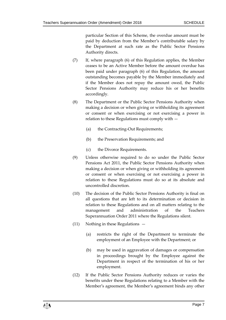particular Section of this Scheme, the overdue amount must be paid by deduction from the Member's contributable salary by the Department at such rate as the Public Sector Pensions Authority directs.

- (7) If, where paragraph (6) of this Regulation applies, the Member ceases to be an Active Member before the amount overdue has been paid under paragraph (6) of this Regulation, the amount outstanding becomes payable by the Member immediately and if the Member does not repay the amount owed, the Public Sector Pensions Authority may reduce his or her benefits accordingly.
- (8) The Department or the Public Sector Pensions Authority when making a decision or when giving or withholding its agreement or consent or when exercising or not exercising a power in relation to these Regulations must comply with —
	- (a) the Contracting-Out Requirements;
	- (b) the Preservation Requirements; and
	- (c) the Divorce Requirements.
- (9) Unless otherwise required to do so under the Public Sector Pensions Act 2011, the Public Sector Pensions Authority when making a decision or when giving or withholding its agreement or consent or when exercising or not exercising a power in relation to these Regulations must do so at its absolute and uncontrolled discretion.
- (10) The decision of the Public Sector Pensions Authority is final on all questions that are left to its determination or decision in relation to these Regulations and on all matters relating to the management and administration of the Teachers Superannuation Order 2011 where the Regulations silent.
- (11) Nothing in these Regulations
	- (a) restricts the right of the Department to terminate the employment of an Employee with the Department; or
	- (b) may be used in aggravation of damages or compensation in proceedings brought by the Employee against the Department in respect of the termination of his or her employment.
- (12) If the Public Sector Pensions Authority reduces or varies the benefits under these Regulations relating to a Member with the Member's agreement, the Member's agreement binds any other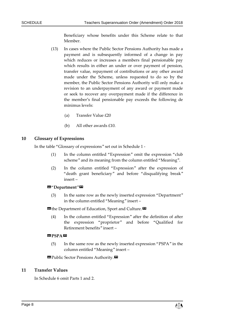Beneficiary whose benefits under this Scheme relate to that Member.

- (13) In cases where the Public Sector Pensions Authority has made a payment and is subsequently informed of a change in pay which reduces or increases a members final pensionable pay which results in either an under or over payment of pension, transfer value, repayment of contributions or any other award made under the Scheme, unless requested to do so by the member, the Public Sector Pensions Authority will only make a revision to an underpayment of any award or payment made or seek to recover any overpayment made if the difference in the member's final pensionable pay exceeds the following de minimus levels:
	- (a) Transfer Value £20
	- (b) All other awards £10.

# **10 Glossary of Expressions**

In the table "Glossary of expressions" set out in Schedule 1 -

- (1) In the column entitled "Expression" omit the expression "club scheme" and its meaning from the column entitled "Meaning".
- (2) In the column entitled "Expression" after the expression of "death grant beneficiary" and before "disqualifying break" insert –

### «"**Department**"»

(3) In the same row as the newly inserted expression "Department" in the column entitled "Meaning" insert –

**ES** the Department of Education, Sport and Culture.

(4) In the column entitled "Expression" after the definition of after the expression "proprietor" and before "Qualified for Retirement benefits" insert –

#### **BPSPA**

(5) In the same row as the newly inserted expression "PSPA" in the column entitled "Meaning" insert –

**B** Public Sector Pensions Authority.

### **11 Transfer Values**

In Schedule 6 omit Parts 1 and 2.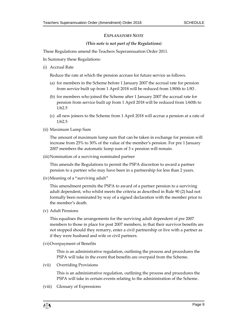## *EXPLANATORY NOTE*

## *(This note is not part of the Regulations)*

These Regulations amend the Teachers Superannuation Order 2011.

In Summary these Regulations:

(i) Accrual Rate

Reduce the rate at which the pension accrues for future service as follows.

- (a) for members in the Scheme before 1 January 2007 the accrual rate for pension from service built up from 1 April 2018 will be reduced from 1/80th to 1/83 .
- (b) for members who joined the Scheme after 1 January 2007 the accrual rate for pension from service built up from 1 April 2018 will be reduced from 1/60th to 1/62.5
- (c) all new joiners to the Scheme from 1 April 2018 will accrue a pension at a rate of 1/62.5
- (ii) Maximum Lump Sum

The amount of maximum lump sum that can be taken in exchange for pension will increase from 25% to 30% of the value of the member's pension. For pre 1 January 2007 members the automatic lump sum of 3 x pension will remain.

(iii)Nomination of a surviving nominated partner

This amends the Regulations to permit the PSPA discretion to award a partner pension to a partner who may have been in a partnership for less than 2 years.

(iv)Meaning of a "surviving adult"

This amendment permits the PSPA to award of a partner pension to a surviving adult dependent, who whilst meets the criteria as described in Rule 90 (2) had not formally been nominated by way of a signed declaration with the member prior to the member's death.

(v) Adult Pensions

This equalises the arrangements for the surviving adult dependent of pre 2007 members to those in place for post 2007 members, in that their survivor benefits are not stopped should they remarry, enter a civil partnership or live with a partner as if they were husband and wife or civil partners.

(vi)Overpayment of Benefits

This is an administrative regulation, outlining the process and procedures the PSPA will take in the event that benefits are overpaid from the Scheme.

(vii) Overriding Provisions

This is an administrative regulation, outlining the process and procedures the PSPA will take in certain events relating to the administration of the Scheme.

(viii) Glossary of Expressions